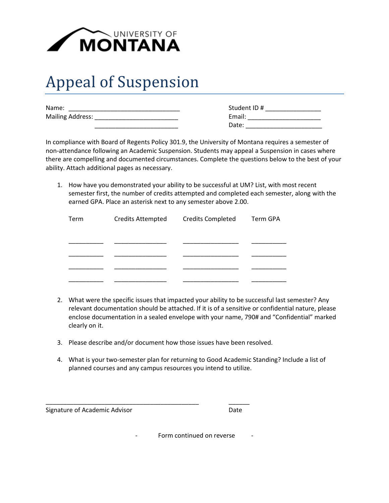

## Appeal of Suspension

| Name:                   | Student ID# |  |
|-------------------------|-------------|--|
| <b>Mailing Address:</b> | Email:      |  |

| Student ID # |
|--------------|
| Email:       |
| Date:        |

In compliance with Board of Regents Policy 301.9, the University of Montana requires a semester of non-attendance following an Academic Suspension. Students may appeal a Suspension in cases where there are compelling and documented circumstances. Complete the questions below to the best of your ability. Attach additional pages as necessary.

1. How have you demonstrated your ability to be successful at UM? List, with most recent semester first, the number of credits attempted and completed each semester, along with the earned GPA. Place an asterisk next to any semester above 2.00.

| Term | Credits Attempted Credits Completed | Term GPA |
|------|-------------------------------------|----------|
|      |                                     |          |
|      |                                     |          |
|      |                                     |          |
|      |                                     |          |

- 2. What were the specific issues that impacted your ability to be successful last semester? Any relevant documentation should be attached. If it is of a sensitive or confidential nature, please enclose documentation in a sealed envelope with your name, 790# and "Confidential" marked clearly on it.
- 3. Please describe and/or document how those issues have been resolved.

\_\_\_\_\_\_\_\_\_\_\_\_\_\_\_\_\_\_\_\_\_\_\_\_\_\_\_\_\_\_\_\_\_\_\_\_\_\_\_\_\_\_\_\_ \_\_\_\_\_\_

4. What is your two-semester plan for returning to Good Academic Standing? Include a list of planned courses and any campus resources you intend to utilize.

Signature of Academic Advisor **Date** 

Form continued on reverse